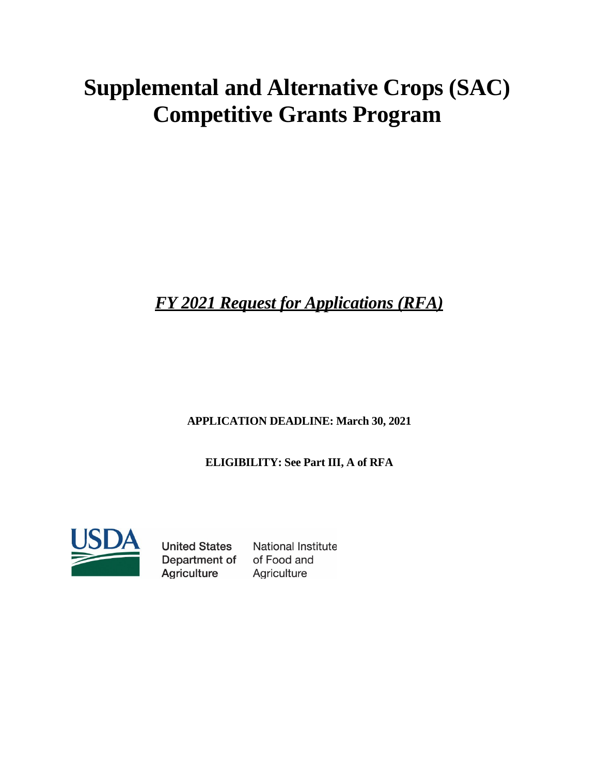# **Supplemental and Alternative Crops (SAC) Competitive Grants Program**

*FY 2021 Request for Applications (RFA)*

**APPLICATION DEADLINE: March 30, 2021**

**ELIGIBILITY: See Part III, A of RFA**



**United States** Department of **Agriculture** 

National Institute of Food and Agriculture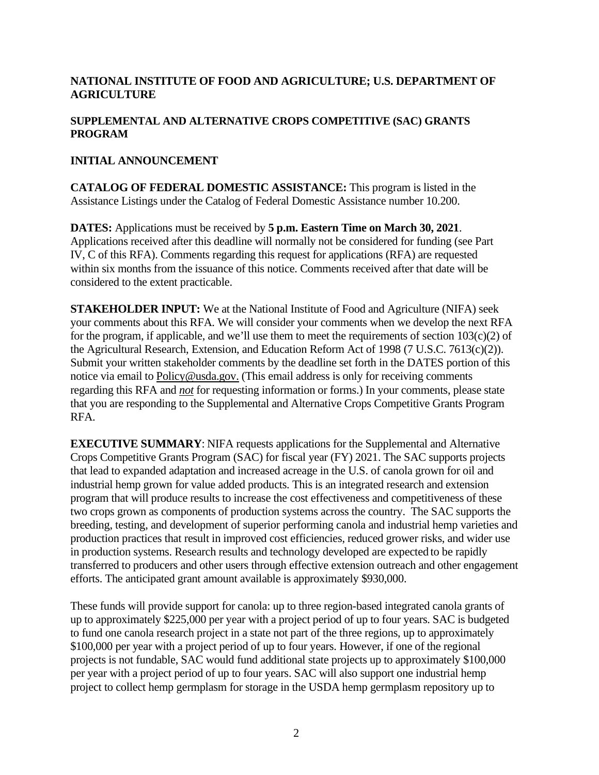# **NATIONAL INSTITUTE OF FOOD AND AGRICULTURE; U.S. DEPARTMENT OF AGRICULTURE**

## **SUPPLEMENTAL AND ALTERNATIVE CROPS COMPETITIVE (SAC) GRANTS PROGRAM**

## **INITIAL ANNOUNCEMENT**

**CATALOG OF FEDERAL DOMESTIC ASSISTANCE:** This program is listed in the Assistance Listings under the Catalog of Federal Domestic Assistance number 10.200.

**DATES:** Applications must be received by **5 p.m. Eastern Time on March 30, 2021**. Applications received after this deadline will normally not be considered for funding (see Part IV, C of this RFA). Comments regarding this request for applications (RFA) are requested within six months from the issuance of this notice. Comments received after that date will be considered to the extent practicable.

**STAKEHOLDER INPUT:** We at the National Institute of Food and Agriculture (NIFA) seek your comments about this RFA. We will consider your comments when we develop the next RFA for the program, if applicable, and we'll use them to meet the requirements of section  $103(c)(2)$  of the Agricultural Research, Extension, and Education Reform Act of 1998 (7 U.S.C. 7613(c)(2)). Submit your written stakeholder comments by the deadline set forth in the DATES portion of this notice via email to [Policy@usda.gov.](mailto:Policy@usda.gov.) (This email address is only for receiving comments regarding this RFA and *not* for requesting information or forms.) In your comments, please state that you are responding to the Supplemental and Alternative Crops Competitive Grants Program RFA.

**EXECUTIVE SUMMARY**: NIFA requests applications for the Supplemental and Alternative Crops Competitive Grants Program (SAC) for fiscal year (FY) 2021. The SAC supports projects that lead to expanded adaptation and increased acreage in the U.S. of canola grown for oil and industrial hemp grown for value added products. This is an integrated research and extension program that will produce results to increase the cost effectiveness and competitiveness of these two crops grown as components of production systems across the country. The SAC supports the breeding, testing, and development of superior performing canola and industrial hemp varieties and production practices that result in improved cost efficiencies, reduced grower risks, and wider use in production systems. Research results and technology developed are expected to be rapidly transferred to producers and other users through effective extension outreach and other engagement efforts. The anticipated grant amount available is approximately \$930,000.

These funds will provide support for canola: up to three region-based integrated canola grants of up to approximately \$225,000 per year with a project period of up to four years. SAC is budgeted to fund one canola research project in a state not part of the three regions, up to approximately \$100,000 per year with a project period of up to four years. However, if one of the regional projects is not fundable, SAC would fund additional state projects up to approximately \$100,000 per year with a project period of up to four years. SAC will also support one industrial hemp project to collect hemp germplasm for storage in the USDA hemp germplasm repository up to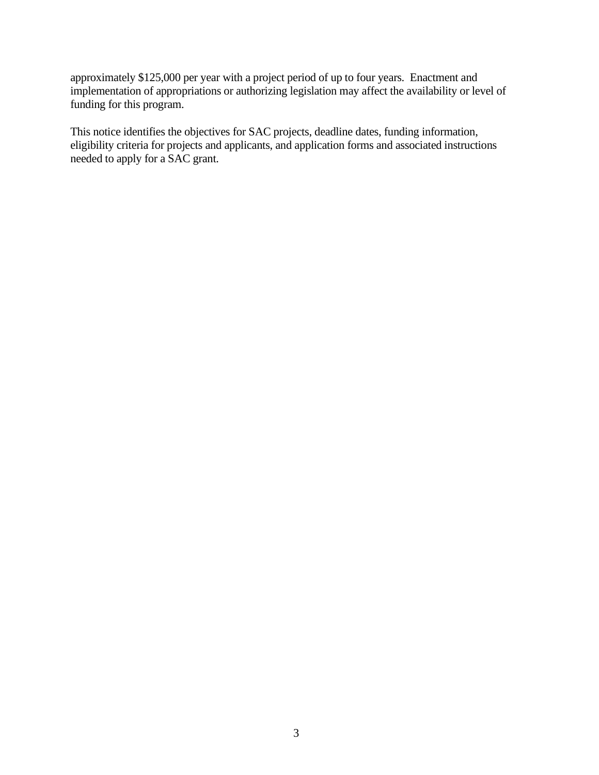approximately \$125,000 per year with a project period of up to four years. Enactment and implementation of appropriations or authorizing legislation may affect the availability or level of funding for this program.

This notice identifies the objectives for SAC projects, deadline dates, funding information, eligibility criteria for projects and applicants, and application forms and associated instructions needed to apply for a SAC grant.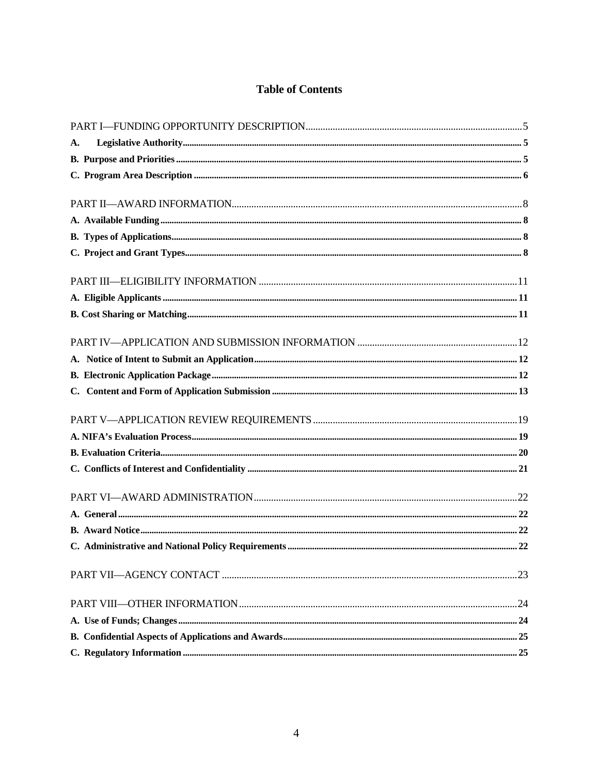# **Table of Contents**

| A. |  |
|----|--|
|    |  |
|    |  |
|    |  |
|    |  |
|    |  |
|    |  |
|    |  |
|    |  |
|    |  |
|    |  |
|    |  |
|    |  |
|    |  |
|    |  |
|    |  |
|    |  |
|    |  |
|    |  |
|    |  |
|    |  |
|    |  |
|    |  |
|    |  |
|    |  |
|    |  |
|    |  |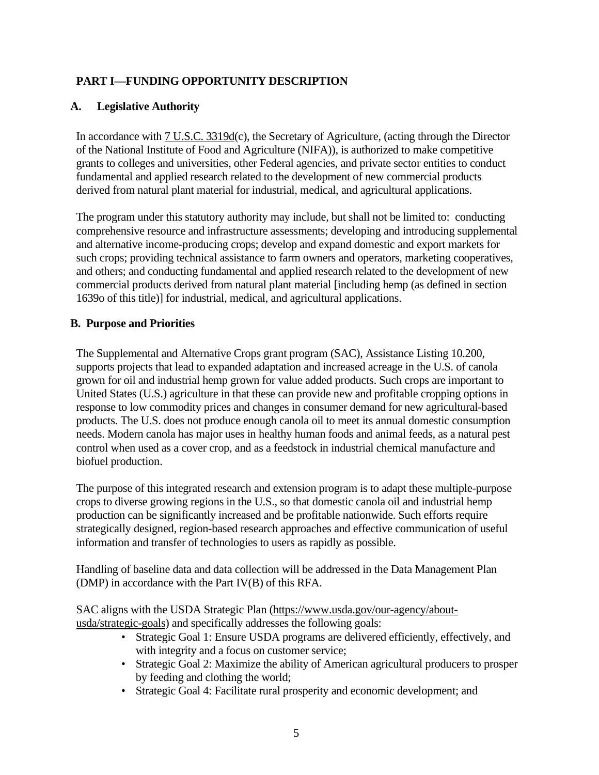# <span id="page-4-0"></span>**PART I—FUNDING OPPORTUNITY DESCRIPTION**

## <span id="page-4-1"></span>**A. Legislative Authority**

In accordance with [7 U.S.C. 3319d\(](https://uscode.house.gov/view.xhtml?req=(title:7%20section:3319d%20edition:prelim)%20OR%20(granuleid:USC-prelim-title7-section3319d)&f=treesort&edition=prelim&num=0&jumpTo=true)c), the Secretary of Agriculture, (acting through the Director of the National Institute of Food and Agriculture (NIFA)), is authorized to make competitive grants to colleges and universities, other Federal agencies, and private sector entities to conduct fundamental and applied research related to the development of new commercial products derived from natural plant material for industrial, medical, and agricultural applications.

The program under this statutory authority may include, but shall not be limited to: conducting comprehensive resource and infrastructure assessments; developing and introducing supplemental and alternative income-producing crops; develop and expand domestic and export markets for such crops; providing technical assistance to farm owners and operators, marketing cooperatives, and others; and conducting fundamental and applied research related to the development of new commercial products derived from natural plant material [including hemp (as defined in section 1639o of this title)] for industrial, medical, and agricultural applications.

## <span id="page-4-2"></span>**B. Purpose and Priorities**

The Supplemental and Alternative Crops grant program (SAC), Assistance Listing 10.200, supports projects that lead to expanded adaptation and increased acreage in the U.S. of canola grown for oil and industrial hemp grown for value added products. Such crops are important to United States (U.S.) agriculture in that these can provide new and profitable cropping options in response to low commodity prices and changes in consumer demand for new agricultural-based products. The U.S. does not produce enough canola oil to meet its annual domestic consumption needs. Modern canola has major uses in healthy human foods and animal feeds, as a natural pest control when used as a cover crop, and as a feedstock in industrial chemical manufacture and biofuel production.

The purpose of this integrated research and extension program is to adapt these multiple-purpose crops to diverse growing regions in the U.S., so that domestic canola oil and industrial hemp production can be significantly increased and be profitable nationwide. Such efforts require strategically designed, region-based research approaches and effective communication of useful information and transfer of technologies to users as rapidly as possible.

Handling of baseline data and data collection will be addressed in the Data Management Plan (DMP) in accordance with the Part IV(B) of this RFA.

SAC aligns with the USDA Strategic Plan [\(https://www.usda.gov/our-agency/about](https://www.usda.gov/our-agency/about-usda/strategic-goals)[usda/strategic-goals\)](https://www.usda.gov/our-agency/about-usda/strategic-goals) and specifically addresses the following goals:

- Strategic Goal 1: Ensure USDA programs are delivered efficiently, effectively, and with integrity and a focus on customer service;
- Strategic Goal 2: Maximize the ability of American agricultural producers to prosper by feeding and clothing the world;
- Strategic Goal 4: Facilitate rural prosperity and economic development; and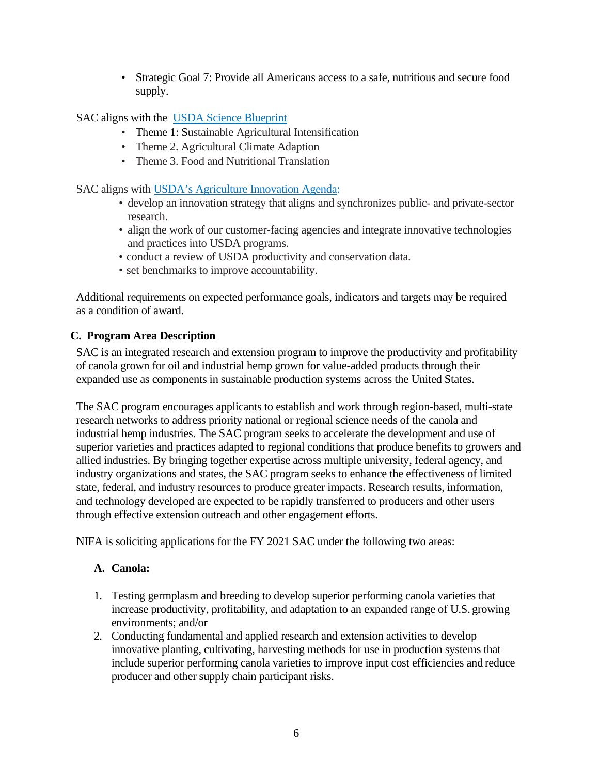• Strategic Goal 7: Provide all Americans access to a safe, nutritious and secure food supply.

SAC aligns with the [USDA Science Blueprint](https://www.usda.gov/sites/default/files/documents/usda-science-blueprint.pdf)

- Theme 1: Sustainable Agricultural Intensification
- Theme 2. Agricultural Climate Adaption
- Theme 3. Food and Nutritional Translation

SAC aligns with [USDA's Agriculture Innovation Agenda:](https://www.usda.gov/aia)

- develop an innovation strategy that aligns and synchronizes public- and private-sector research.
- align the work of our customer-facing agencies and integrate innovative technologies and practices into USDA programs.
- conduct a review of USDA productivity and conservation data.
- set benchmarks to improve accountability.

Additional requirements on expected performance goals, indicators and targets may be required as a condition of award.

# <span id="page-5-0"></span>**C. Program Area Description**

SAC is an integrated research and extension program to improve the productivity and profitability of canola grown for oil and industrial hemp grown for value-added products through their expanded use as components in sustainable production systems across the United States.

The SAC program encourages applicants to establish and work through region-based, multi-state research networks to address priority national or regional science needs of the canola and industrial hemp industries. The SAC program seeks to accelerate the development and use of superior varieties and practices adapted to regional conditions that produce benefits to growers and allied industries. By bringing together expertise across multiple university, federal agency, and industry organizations and states, the SAC program seeks to enhance the effectiveness of limited state, federal, and industry resources to produce greater impacts. Research results, information, and technology developed are expected to be rapidly transferred to producers and other users through effective extension outreach and other engagement efforts.

NIFA is soliciting applications for the FY 2021 SAC under the following two areas:

# **A. Canola:**

- 1. Testing germplasm and breeding to develop superior performing canola varieties that increase productivity, profitability, and adaptation to an expanded range of U.S. growing environments; and/or
- 2. Conducting fundamental and applied research and extension activities to develop innovative planting, cultivating, harvesting methods for use in production systems that include superior performing canola varieties to improve input cost efficiencies and reduce producer and other supply chain participant risks.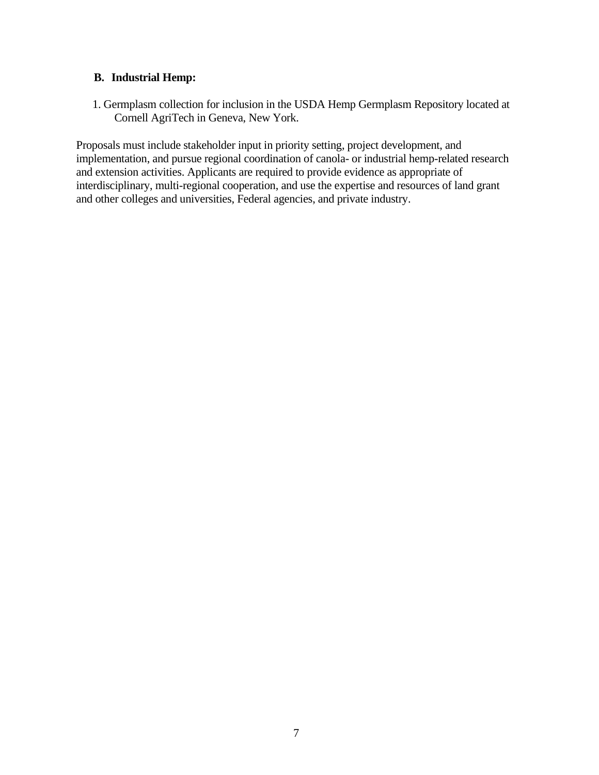## **B. Industrial Hemp:**

1. Germplasm collection for inclusion in the USDA Hemp Germplasm Repository located at Cornell AgriTech in Geneva, New York.

Proposals must include stakeholder input in priority setting, project development, and implementation, and pursue regional coordination of canola- or industrial hemp-related research and extension activities. Applicants are required to provide evidence as appropriate of interdisciplinary, multi-regional cooperation, and use the expertise and resources of land grant and other colleges and universities, Federal agencies, and private industry.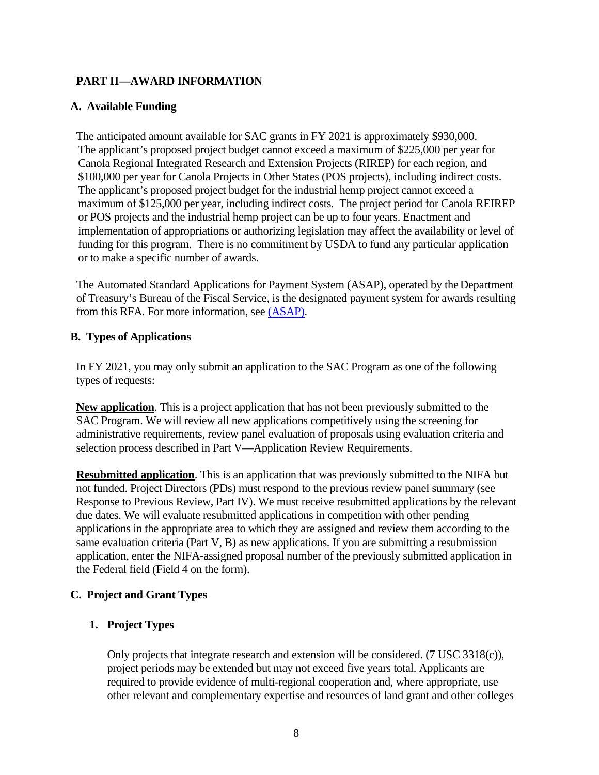# <span id="page-7-0"></span>**PART II—AWARD INFORMATION**

#### <span id="page-7-1"></span>**A. Available Funding**

The anticipated amount available for SAC grants in FY 2021 is approximately \$930,000. The applicant's proposed project budget cannot exceed a maximum of \$225,000 per year for Canola Regional Integrated Research and Extension Projects (RIREP) for each region, and \$100,000 per year for Canola Projects in Other States (POS projects), including indirect costs. The applicant's proposed project budget for the industrial hemp project cannot exceed a maximum of \$125,000 per year, including indirect costs. The project period for Canola REIREP or POS projects and the industrial hemp project can be up to four years. Enactment and implementation of appropriations or authorizing legislation may affect the availability or level of funding for this program. There is no commitment by USDA to fund any particular application or to make a specific number of awards.

The Automated Standard Applications for Payment System (ASAP), operated by the Department of Treasury's Bureau of the Fiscal Service, is the designated payment system for awards resulting from this RFA. For more information, see [\(ASAP\).](https://www.fiscal.treasury.gov/fsservices/gov/pmt/asap/asap_home.htm)

## <span id="page-7-2"></span>**B. Types of Applications**

In FY 2021, you may only submit an application to the SAC Program as one of the following types of requests:

**New application**. This is a project application that has not been previously submitted to the SAC Program. We will review all new applications competitively using the screening for administrative requirements, review panel evaluation of proposals using evaluation criteria and selection process described in Part V—Application Review Requirements.

**Resubmitted application**. This is an application that was previously submitted to the NIFA but not funded. Project Directors (PDs) must respond to the previous review panel summary (see Response to Previous Review, Part IV). We must receive resubmitted applications by the relevant due dates. We will evaluate resubmitted applications in competition with other pending applications in the appropriate area to which they are assigned and review them according to the same evaluation criteria (Part V, B) as new applications. If you are submitting a resubmission application, enter the NIFA-assigned proposal number of the previously submitted application in the Federal field (Field 4 on the form).

## <span id="page-7-3"></span>**C. Project and Grant Types**

## **1. Project Types**

Only projects that integrate research and extension will be considered. (7 USC 3318(c)), project periods may be extended but may not exceed five years total. Applicants are required to provide evidence of multi-regional cooperation and, where appropriate, use other relevant and complementary expertise and resources of land grant and other colleges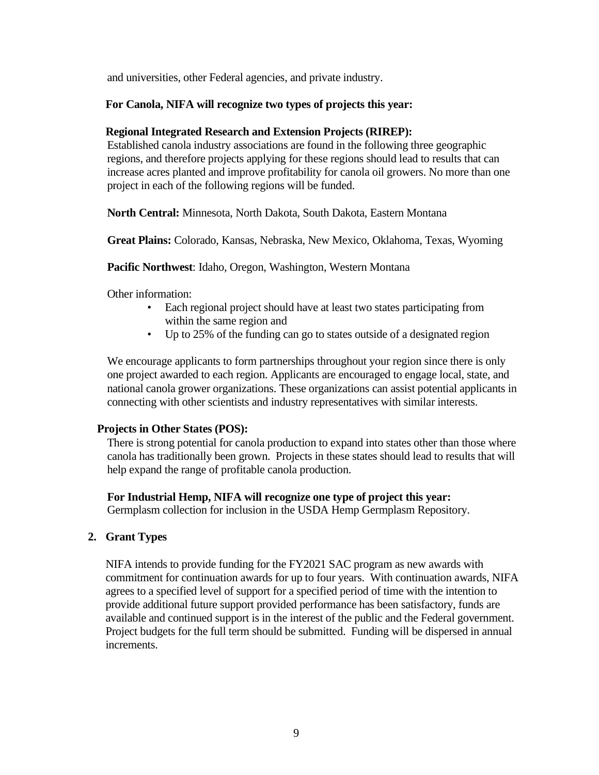and universities, other Federal agencies, and private industry.

#### **For Canola, NIFA will recognize two types of projects this year:**

#### **Regional Integrated Research and Extension Projects (RIREP):**

Established canola industry associations are found in the following three geographic regions, and therefore projects applying for these regions should lead to results that can increase acres planted and improve profitability for canola oil growers. No more than one project in each of the following regions will be funded.

**North Central:** Minnesota, North Dakota, South Dakota, Eastern Montana

**Great Plains:** Colorado, Kansas, Nebraska, New Mexico, Oklahoma, Texas, Wyoming

**Pacific Northwest**: Idaho, Oregon, Washington, Western Montana

Other information:

- Each regional project should have at least two states participating from within the same region and
- Up to 25% of the funding can go to states outside of a designated region

We encourage applicants to form partnerships throughout your region since there is only one project awarded to each region. Applicants are encouraged to engage local, state, and national canola grower organizations. These organizations can assist potential applicants in connecting with other scientists and industry representatives with similar interests.

#### **Projects in Other States (POS):**

There is strong potential for canola production to expand into states other than those where canola has traditionally been grown. Projects in these states should lead to results that will help expand the range of profitable canola production.

#### **For Industrial Hemp, NIFA will recognize one type of project this year:**

Germplasm collection for inclusion in the USDA Hemp Germplasm Repository.

#### **2. Grant Types**

NIFA intends to provide funding for the FY2021 SAC program as new awards with commitment for continuation awards for up to four years. With continuation awards, NIFA agrees to a specified level of support for a specified period of time with the intention to provide additional future support provided performance has been satisfactory, funds are available and continued support is in the interest of the public and the Federal government. Project budgets for the full term should be submitted. Funding will be dispersed in annual increments.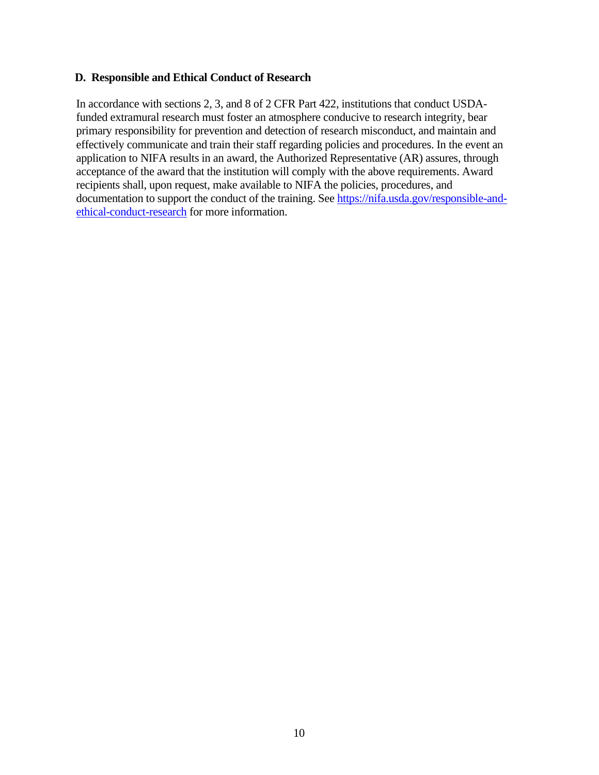#### **D. Responsible and Ethical Conduct of Research**

In accordance with sections 2, 3, and 8 of 2 CFR Part 422, institutions that conduct USDAfunded extramural research must foster an atmosphere conducive to research integrity, bear primary responsibility for prevention and detection of research misconduct, and maintain and effectively communicate and train their staff regarding policies and procedures. In the event an application to NIFA results in an award, the Authorized Representative (AR) assures, through acceptance of the award that the institution will comply with the above requirements. Award recipients shall, upon request, make available to NIFA the policies, procedures, and documentation to support the conduct of the training. See [https://nifa.usda.gov/responsible-and](https://nifa.usda.gov/responsible-and-ethical-conduct-research)[ethical-conduct-research](https://nifa.usda.gov/responsible-and-ethical-conduct-research) for more information.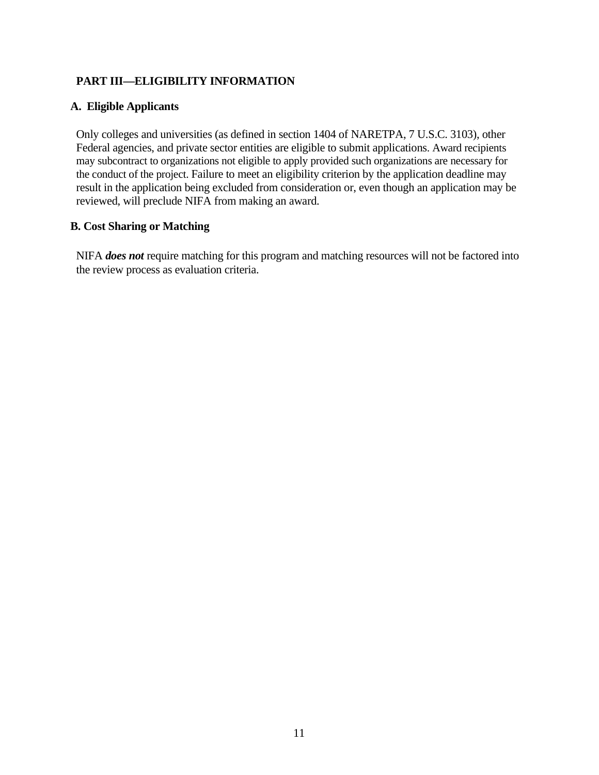# <span id="page-10-0"></span>**PART III—ELIGIBILITY INFORMATION**

#### <span id="page-10-1"></span>**A. Eligible Applicants**

Only colleges and universities (as defined in section 1404 of NARETPA, 7 U.S.C. 3103), other Federal agencies, and private sector entities are eligible to submit applications. Award recipients may subcontract to organizations not eligible to apply provided such organizations are necessary for the conduct of the project. Failure to meet an eligibility criterion by the application deadline may result in the application being excluded from consideration or, even though an application may be reviewed, will preclude NIFA from making an award.

## <span id="page-10-2"></span>**B. Cost Sharing or Matching**

NIFA *does not* require matching for this program and matching resources will not be factored into the review process as evaluation criteria.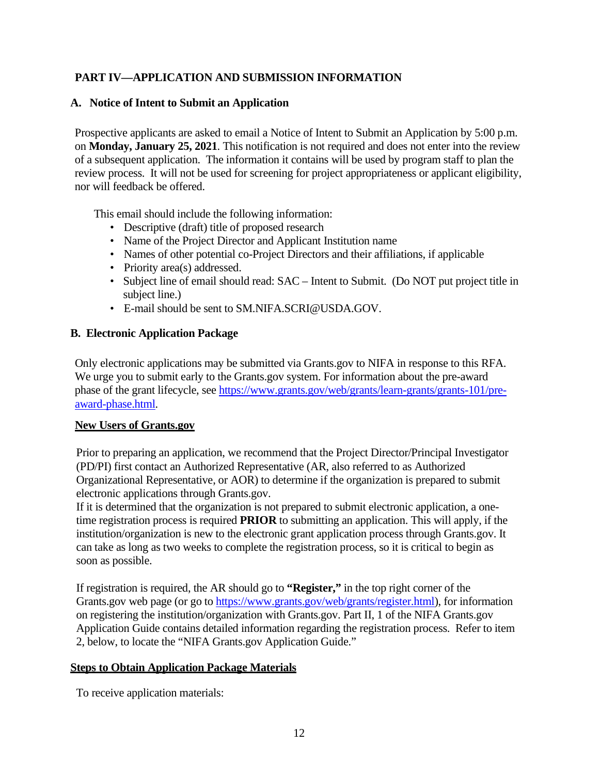# <span id="page-11-0"></span>**PART IV—APPLICATION AND SUBMISSION INFORMATION**

## <span id="page-11-1"></span>**A. Notice of Intent to Submit an Application**

Prospective applicants are asked to email a Notice of Intent to Submit an Application by 5:00 p.m. on **Monday, January 25, 2021**. This notification is not required and does not enter into the review of a subsequent application. The information it contains will be used by program staff to plan the review process. It will not be used for screening for project appropriateness or applicant eligibility, nor will feedback be offered.

This email should include the following information:

- Descriptive (draft) title of proposed research
- Name of the Project Director and Applicant Institution name
- Names of other potential co-Project Directors and their affiliations, if applicable
- Priority area(s) addressed.
- Subject line of email should read:  $SAC$  Intent to Submit. (Do NOT put project title in subject line.)
- E-mail should be sent to SM.NIFA.SCRI@USDA.GOV.

## <span id="page-11-2"></span>**B. Electronic Application Package**

Only electronic applications may be submitted via Grants.gov to NIFA in response to this RFA. We urge you to submit early to the Grants.gov system. For information about the pre-award phase of the grant lifecycle, see [https://www.grants.gov/web/grants/learn-grants/grants-101/pre](https://www.grants.gov/web/grants/learn-grants/grants-101/pre-award-phase.html)[award-phase.html.](https://www.grants.gov/web/grants/learn-grants/grants-101/pre-award-phase.html)

#### **New Users of Grants.gov**

Prior to preparing an application, we recommend that the Project Director/Principal Investigator (PD/PI) first contact an Authorized Representative (AR, also referred to as Authorized Organizational Representative, or AOR) to determine if the organization is prepared to submit electronic applications through Grants.gov.

If it is determined that the organization is not prepared to submit electronic application, a onetime registration process is required **PRIOR** to submitting an application. This will apply, if the institution/organization is new to the electronic grant application process through Grants.gov. It can take as long as two weeks to complete the registration process, so it is critical to begin as soon as possible.

If registration is required, the AR should go to **"Register,"** in the top right corner of the Grants.gov web page (or go to [https://www.grants.gov/web/grants/register.html\)](https://www.grants.gov/web/grants/register.html), for information on registering the institution/organization with Grants.gov. Part II, 1 of the NIFA Grants.gov Application Guide contains detailed information regarding the registration process. Refer to item 2, below, to locate the "NIFA Grants.gov Application Guide."

#### **Steps to Obtain Application Package Materials**

To receive application materials: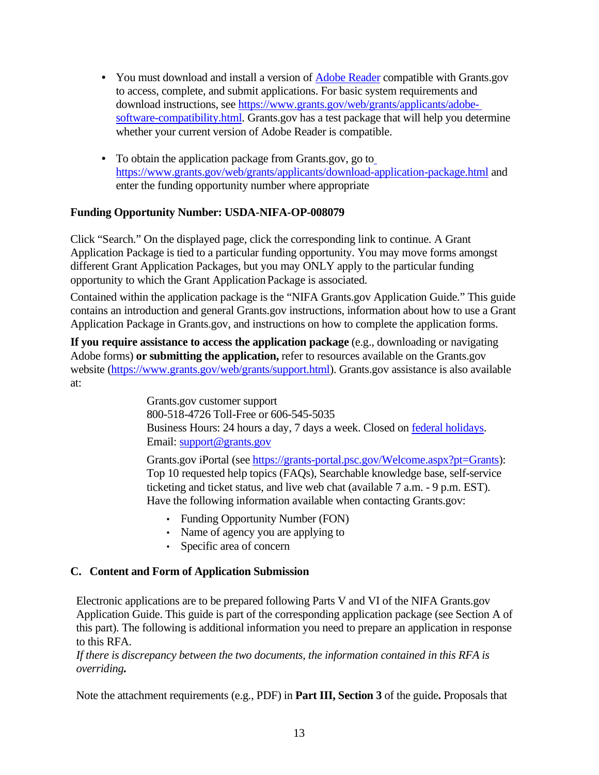- You must download and install a version of **[Adobe Reader](https://get.adobe.com/reader/)** compatible with Grants.gov to access, complete, and submit applications. For basic system requirements and download instructions, see [https://www.grants.gov/web/grants/applicants/adobe](https://www.grants.gov/web/grants/applicants/adobe-software-compatibility.html)[software-compatibility.html.](https://www.grants.gov/web/grants/applicants/adobe-software-compatibility.html) Grants.gov has a test package that will help you determine whether your current version of Adobe Reader is compatible.
- **•** To obtain the application package from Grants.gov, go to <https://www.grants.gov/web/grants/applicants/download-application-package.html> and enter the funding opportunity number where appropriate

## **Funding Opportunity Number: USDA-NIFA-OP-008079**

Click "Search." On the displayed page, click the corresponding link to continue. A Grant Application Package is tied to a particular funding opportunity. You may move forms amongst different Grant Application Packages, but you may ONLY apply to the particular funding opportunity to which the Grant Application Package is associated.

Contained within the application package is the "NIFA Grants.gov Application Guide." This guide contains an introduction and general Grants.gov instructions, information about how to use a Grant Application Package in Grants.gov, and instructions on how to complete the application forms.

**If you require assistance to access the application package** (e.g., downloading or navigating Adobe forms) **or submitting the application,** refer to resources available on the Grants.gov website [\(https://www.grants.gov/web/grants/support.html\)](https://www.grants.gov/web/grants/support.html). Grants.gov assistance is also available at:

> Grants.gov customer support 800-518-4726 Toll-Free or 606-545-5035 Business Hours: 24 hours a day, 7 days a week. Closed on [federal holidays.](http://www.opm.gov/policy-data-oversight/snow-dismissal-procedures/federal-holidays/) Email: [support@grants.gov](mailto:support@grants.gov)

Grants.gov iPortal (see [https://grants-portal.psc.gov/Welcome.aspx?pt=Grants\)](https://grants-portal.psc.gov/Welcome.aspx?pt=Grants): Top 10 requested help topics (FAQs), Searchable knowledge base, self-service ticketing and ticket status, and live web chat (available 7 a.m. - 9 p.m. EST). Have the following information available when contacting Grants.gov:

- Funding Opportunity Number (FON)
- Name of agency you are applying to
- Specific area of concern

## <span id="page-12-0"></span>**C. Content and Form of Application Submission**

Electronic applications are to be prepared following Parts V and VI of the NIFA Grants.gov Application Guide. This guide is part of the corresponding application package (see Section A of this part). The following is additional information you need to prepare an application in response to this RFA.

*If there is discrepancy between the two documents, the information contained in this RFA is overriding.*

Note the attachment requirements (e.g., PDF) in **Part III, Section 3** of the guide**.** Proposals that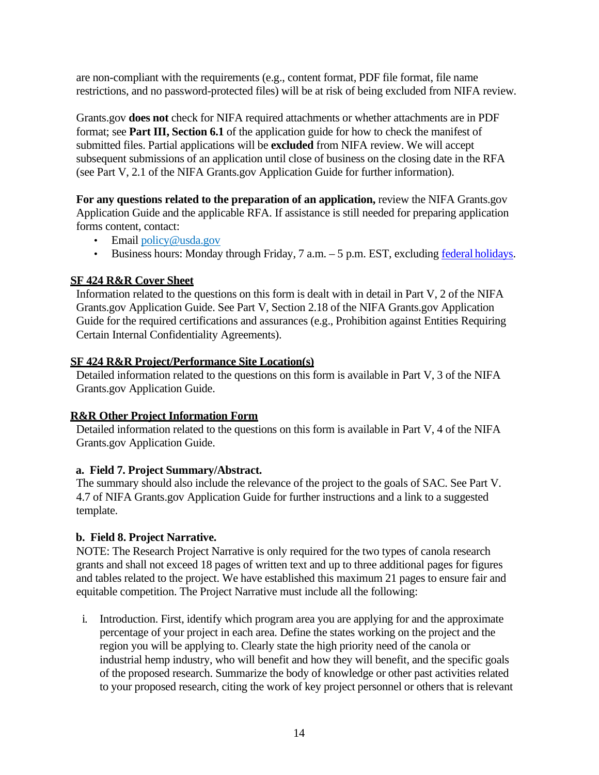are non-compliant with the requirements (e.g., content format, PDF file format, file name restrictions, and no password-protected files) will be at risk of being excluded from NIFA review.

Grants.gov **does not** check for NIFA required attachments or whether attachments are in PDF format; see **Part III, Section 6.1** of the application guide for how to check the manifest of submitted files. Partial applications will be **excluded** from NIFA review. We will accept subsequent submissions of an application until close of business on the closing date in the RFA (see Part V, 2.1 of the NIFA Grants.gov Application Guide for further information).

For any questions related to the preparation of an application, review the NIFA Grants.gov Application Guide and the applicable RFA. If assistance is still needed for preparing application forms content, contact:

- Email [policy@usda.gov](https://usdagcc-my.sharepoint.com/personal/kevin_siegmund_usda_gov/Documents/RFAs/FY2021/12.15.2020/09-Supplemental%20and%20Alternative%20Crops%20-%20Canola%20(SACC)/AppData/Local/Microsoft/Windows/INetCache/IE/AppData/Local/Microsoft/Windows/INetCache/IE/BSA97SB1/policy@usda.gov)
- Business hours: Monday through Friday, 7 a.m. 5 p.m. EST, excluding federal [holidays.](https://www.opm.gov/policy-data-oversight/snow-dismissal-procedures/federal-holidays/)

## **SF 424 R&R Cover Sheet**

Information related to the questions on this form is dealt with in detail in Part V, 2 of the NIFA Grants.gov Application Guide. See Part V, Section 2.18 of the NIFA Grants.gov Application Guide for the required certifications and assurances (e.g., Prohibition against Entities Requiring Certain Internal Confidentiality Agreements).

#### **SF 424 R&R Project/Performance Site Location(s)**

Detailed information related to the questions on this form is available in Part V, 3 of the NIFA Grants.gov Application Guide.

## **R&R Other Project Information Form**

Detailed information related to the questions on this form is available in Part V, 4 of the NIFA Grants.gov Application Guide.

## **a. Field 7. Project Summary/Abstract.**

The summary should also include the relevance of the project to the goals of SAC. See Part V. 4.7 of NIFA Grants.gov Application Guide for further instructions and a link to a suggested template.

## **b. Field 8. Project Narrative.**

NOTE: The Research Project Narrative is only required for the two types of canola research grants and shall not exceed 18 pages of written text and up to three additional pages for figures and tables related to the project. We have established this maximum 21 pages to ensure fair and equitable competition. The Project Narrative must include all the following:

i. Introduction. First, identify which program area you are applying for and the approximate percentage of your project in each area. Define the states working on the project and the region you will be applying to. Clearly state the high priority need of the canola or industrial hemp industry, who will benefit and how they will benefit, and the specific goals of the proposed research. Summarize the body of knowledge or other past activities related to your proposed research, citing the work of key project personnel or others that is relevant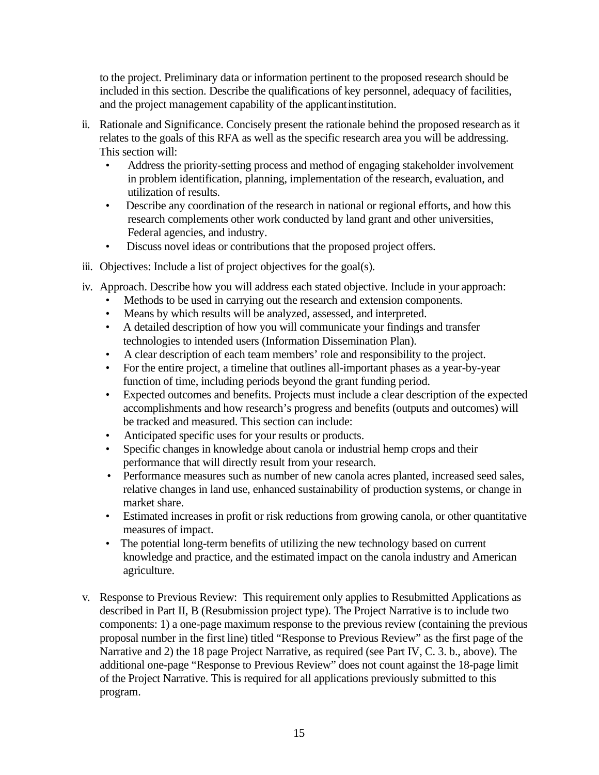to the project. Preliminary data or information pertinent to the proposed research should be included in this section. Describe the qualifications of key personnel, adequacy of facilities, and the project management capability of the applicantinstitution.

- ii. Rationale and Significance. Concisely present the rationale behind the proposed research as it relates to the goals of this RFA as well as the specific research area you will be addressing. This section will:
	- Address the priority-setting process and method of engaging stakeholder involvement in problem identification, planning, implementation of the research, evaluation, and utilization of results.
	- Describe any coordination of the research in national or regional efforts, and how this research complements other work conducted by land grant and other universities, Federal agencies, and industry.
	- Discuss novel ideas or contributions that the proposed project offers.
- iii. Objectives: Include a list of project objectives for the goal(s).
- iv. Approach. Describe how you will address each stated objective. Include in your approach:
	- Methods to be used in carrying out the research and extension components.
	- Means by which results will be analyzed, assessed, and interpreted.
	- A detailed description of how you will communicate your findings and transfer technologies to intended users (Information Dissemination Plan).
	- A clear description of each team members' role and responsibility to the project.
	- For the entire project, a timeline that outlines all-important phases as a year-by-year function of time, including periods beyond the grant funding period.
	- Expected outcomes and benefits. Projects must include a clear description of the expected accomplishments and how research's progress and benefits (outputs and outcomes) will be tracked and measured. This section can include:
	- Anticipated specific uses for your results or products.
	- Specific changes in knowledge about canola or industrial hemp crops and their performance that will directly result from your research.
	- Performance measures such as number of new canola acres planted, increased seed sales, relative changes in land use, enhanced sustainability of production systems, or change in market share.
	- Estimated increases in profit or risk reductions from growing canola, or other quantitative measures of impact.
	- The potential long-term benefits of utilizing the new technology based on current knowledge and practice, and the estimated impact on the canola industry and American agriculture.
- v. Response to Previous Review: This requirement only applies to Resubmitted Applications as described in Part II, B (Resubmission project type). The Project Narrative is to include two components: 1) a one-page maximum response to the previous review (containing the previous proposal number in the first line) titled "Response to Previous Review" as the first page of the Narrative and 2) the 18 page Project Narrative, as required (see Part IV, C. 3. b., above). The additional one-page "Response to Previous Review" does not count against the 18-page limit of the Project Narrative. This is required for all applications previously submitted to this program.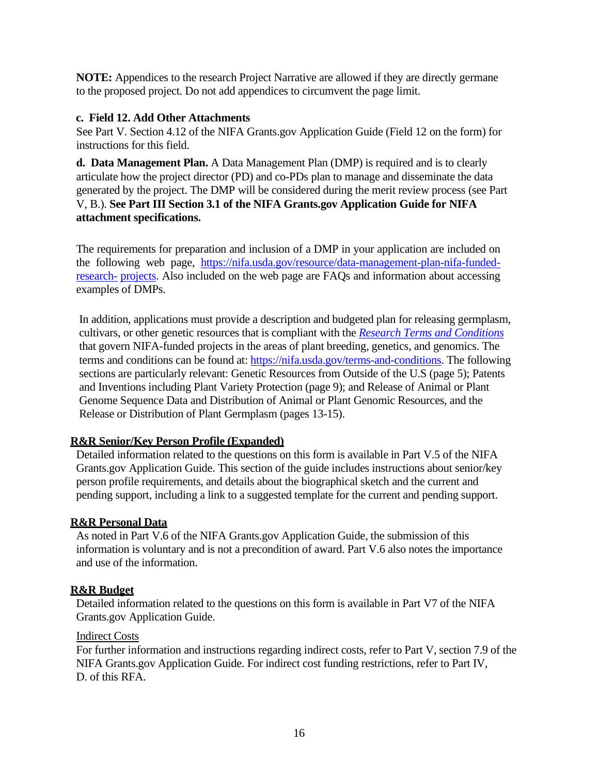**NOTE:** Appendices to the research Project Narrative are allowed if they are directly germane to the proposed project. Do not add appendices to circumvent the page limit.

#### **c. Field 12. Add Other Attachments**

See Part V. Section 4.12 of the NIFA Grants.gov Application Guide (Field 12 on the form) for instructions for this field.

**d. Data Management Plan.** A Data Management Plan (DMP) is required and is to clearly articulate how the project director (PD) and co-PDs plan to manage and disseminate the data generated by the project. The DMP will be considered during the merit review process (see Part V, B.). **See Part III Section 3.1 of the NIFA Grants.gov Application Guide for NIFA attachment specifications.**

The requirements for preparation and inclusion of a DMP in your application are included on the following web page, [https://nifa.usda.gov/resource/data-management-plan-nifa-funded](https://nifa.usda.gov/resource/data-management-plan-nifa-funded-research-projects)[research-](https://nifa.usda.gov/resource/data-management-plan-nifa-funded-research-projects) [projects.](https://nifa.usda.gov/resource/data-management-plan-nifa-funded-research-projects) Also included on the web page are FAQs and information about accessing examples of DMPs.

In addition, applications must provide a description and budgeted plan for releasing germplasm, cultivars, or other genetic resources that is compliant with the *[Research Terms and Conditions](https://nifa.usda.gov/terms-and-conditions)* that govern NIFA-funded projects in the areas of plant breeding, genetics, and genomics. The terms and conditions can be found at: [https://nifa.usda.gov/terms-and-conditions.](https://nifa.usda.gov/terms-and-conditions) The following sections are particularly relevant: Genetic Resources from Outside of the U.S (page 5); Patents and Inventions including Plant Variety Protection (page 9); and Release of Animal or Plant Genome Sequence Data and Distribution of Animal or Plant Genomic Resources, and the Release or Distribution of Plant Germplasm (pages 13-15).

## **R&R Senior/Key Person Profile (Expanded)**

Detailed information related to the questions on this form is available in Part V.5 of the NIFA Grants.gov Application Guide. This section of the guide includes instructions about senior/key person profile requirements, and details about the biographical sketch and the current and pending support, including a link to a suggested template for the current and pending support.

#### **R&R Personal Data**

As noted in Part V.6 of the NIFA Grants.gov Application Guide, the submission of this information is voluntary and is not a precondition of award. Part V.6 also notes the importance and use of the information.

#### **R&R Budget**

Detailed information related to the questions on this form is available in Part V7 of the NIFA Grants.gov Application Guide.

#### Indirect Costs

For further information and instructions regarding indirect costs, refer to Part V, section 7.9 of the NIFA Grants.gov Application Guide. For indirect cost funding restrictions, refer to Part IV, D. of this RFA.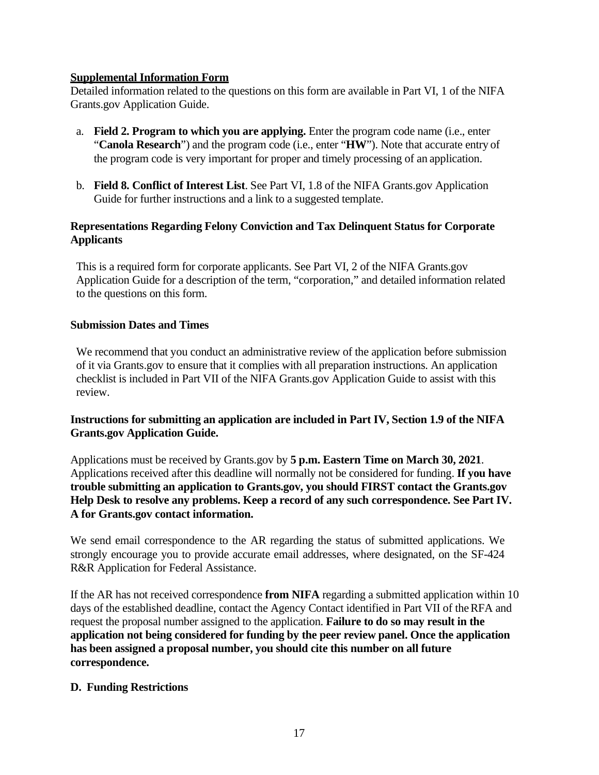## **Supplemental Information Form**

Detailed information related to the questions on this form are available in Part VI, 1 of the NIFA Grants.gov Application Guide.

- a. **Field 2. Program to which you are applying.** Enter the program code name (i.e., enter "**Canola Research**") and the program code (i.e., enter "**HW**"). Note that accurate entry of the program code is very important for proper and timely processing of an application.
- b. **Field 8. Conflict of Interest List**. See Part VI, 1.8 of the NIFA Grants.gov Application Guide for further instructions and a link to a suggested template.

## **Representations Regarding Felony Conviction and Tax Delinquent Status for Corporate Applicants**

This is a required form for corporate applicants. See Part VI, 2 of the NIFA Grants.gov Application Guide for a description of the term, "corporation," and detailed information related to the questions on this form.

#### **Submission Dates and Times**

We recommend that you conduct an administrative review of the application before submission of it via Grants.gov to ensure that it complies with all preparation instructions. An application checklist is included in Part VII of the NIFA Grants.gov Application Guide to assist with this review.

## **Instructions for submitting an application are included in Part IV, Section 1.9 of the NIFA Grants.gov Application Guide.**

Applications must be received by Grants.gov by **5 p.m. Eastern Time on March 30, 2021**. Applications received after this deadline will normally not be considered for funding. **If you have trouble submitting an application to Grants.gov, you should FIRST contact the Grants.gov Help Desk to resolve any problems. Keep a record of any such correspondence. See Part IV. A for Grants.gov contact information.**

We send email correspondence to the AR regarding the status of submitted applications. We strongly encourage you to provide accurate email addresses, where designated, on the SF-424 R&R Application for Federal Assistance.

If the AR has not received correspondence **from NIFA** regarding a submitted application within 10 days of the established deadline, contact the Agency Contact identified in Part VII of theRFA and request the proposal number assigned to the application. **Failure to do so may result in the application not being considered for funding by the peer review panel. Once the application has been assigned a proposal number, you should cite this number on all future correspondence.**

## **D. Funding Restrictions**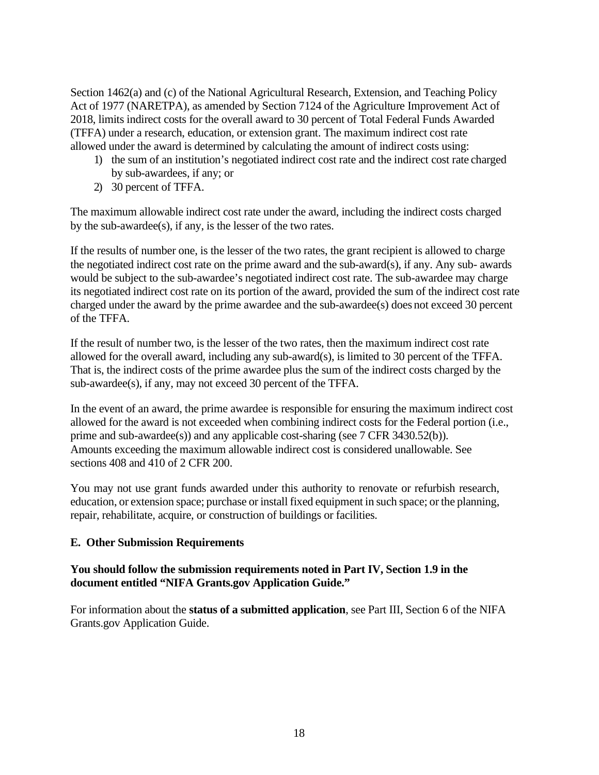Section 1462(a) and (c) of the National Agricultural Research, Extension, and Teaching Policy Act of 1977 (NARETPA), as amended by Section 7124 of the Agriculture Improvement Act of 2018, limits indirect costs for the overall award to 30 percent of Total Federal Funds Awarded (TFFA) under a research, education, or extension grant. The maximum indirect cost rate allowed under the award is determined by calculating the amount of indirect costs using:

- 1) the sum of an institution's negotiated indirect cost rate and the indirect cost rate charged by sub-awardees, if any; or
- 2) 30 percent of TFFA.

The maximum allowable indirect cost rate under the award, including the indirect costs charged by the sub-awardee(s), if any, is the lesser of the two rates.

If the results of number one, is the lesser of the two rates, the grant recipient is allowed to charge the negotiated indirect cost rate on the prime award and the sub-award(s), if any. Any sub- awards would be subject to the sub-awardee's negotiated indirect cost rate. The sub-awardee may charge its negotiated indirect cost rate on its portion of the award, provided the sum of the indirect cost rate charged under the award by the prime awardee and the sub-awardee(s) does not exceed 30 percent of the TFFA.

If the result of number two, is the lesser of the two rates, then the maximum indirect cost rate allowed for the overall award, including any sub-award(s), is limited to 30 percent of the TFFA. That is, the indirect costs of the prime awardee plus the sum of the indirect costs charged by the sub-awardee(s), if any, may not exceed 30 percent of the TFFA.

In the event of an award, the prime awardee is responsible for ensuring the maximum indirect cost allowed for the award is not exceeded when combining indirect costs for the Federal portion (i.e., prime and sub-awardee(s)) and any applicable cost-sharing (see 7 CFR 3430.52(b)). Amounts exceeding the maximum allowable indirect cost is considered unallowable. See sections 408 and 410 of 2 CFR 200.

You may not use grant funds awarded under this authority to renovate or refurbish research, education, or extension space; purchase or install fixed equipment in such space; or the planning, repair, rehabilitate, acquire, or construction of buildings or facilities.

## **E. Other Submission Requirements**

#### **You should follow the submission requirements noted in Part IV, Section 1.9 in the document entitled "NIFA Grants.gov Application Guide."**

For information about the **status of a submitted application**, see Part III, Section 6 of the NIFA Grants.gov Application Guide.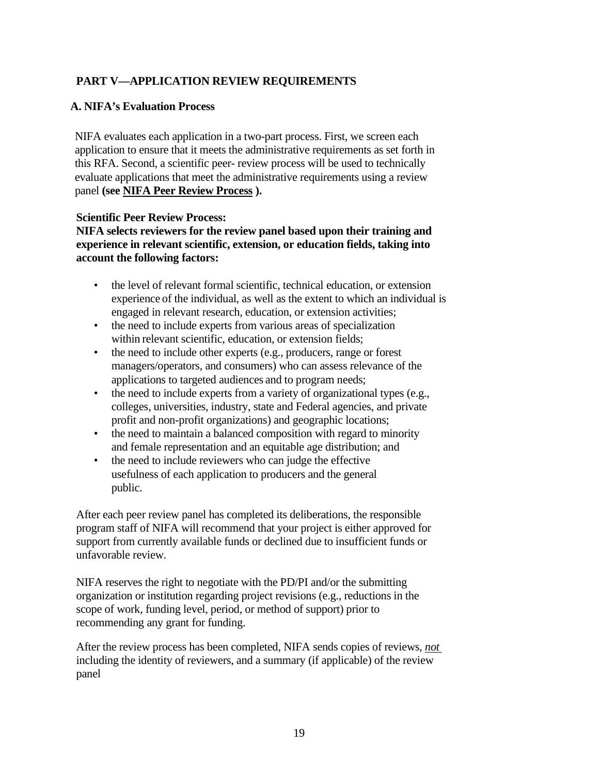# <span id="page-18-0"></span>**PART V—APPLICATION REVIEW REQUIREMENTS**

## <span id="page-18-1"></span>**A. NIFA's Evaluation Process**

NIFA evaluates each application in a two-part process. First, we screen each application to ensure that it meets the administrative requirements as set forth in this RFA. Second, a scientific peer- review process will be used to technically evaluate applications that meet the administrative requirements using a review panel **(see [NIFA Peer Review Process](https://nifa.usda.gov/resource/nifa-peer-review-process-competitive-grant-applications) ).**

#### **Scientific Peer Review Process:**

**NIFA selects reviewers for the review panel based upon their training and experience in relevant scientific, extension, or education fields, taking into account the following factors:**

- the level of relevant formal scientific, technical education, or extension experience of the individual, as well as the extent to which an individual is engaged in relevant research, education, or extension activities;
- the need to include experts from various areas of specialization within relevant scientific, education, or extension fields;
- the need to include other experts (e.g., producers, range or forest managers/operators, and consumers) who can assess relevance of the applications to targeted audiences and to program needs;
- the need to include experts from a variety of organizational types (e.g., colleges, universities, industry, state and Federal agencies, and private profit and non-profit organizations) and geographic locations;
- the need to maintain a balanced composition with regard to minority and female representation and an equitable age distribution; and
- the need to include reviewers who can judge the effective usefulness of each application to producers and the general public.

After each peer review panel has completed its deliberations, the responsible program staff of NIFA will recommend that your project is either approved for support from currently available funds or declined due to insufficient funds or unfavorable review.

NIFA reserves the right to negotiate with the PD/PI and/or the submitting organization or institution regarding project revisions (e.g., reductions in the scope of work, funding level, period, or method of support) prior to recommending any grant for funding.

After the review process has been completed, NIFA sends copies of reviews, *not*  including the identity of reviewers, and a summary (if applicable) of the review panel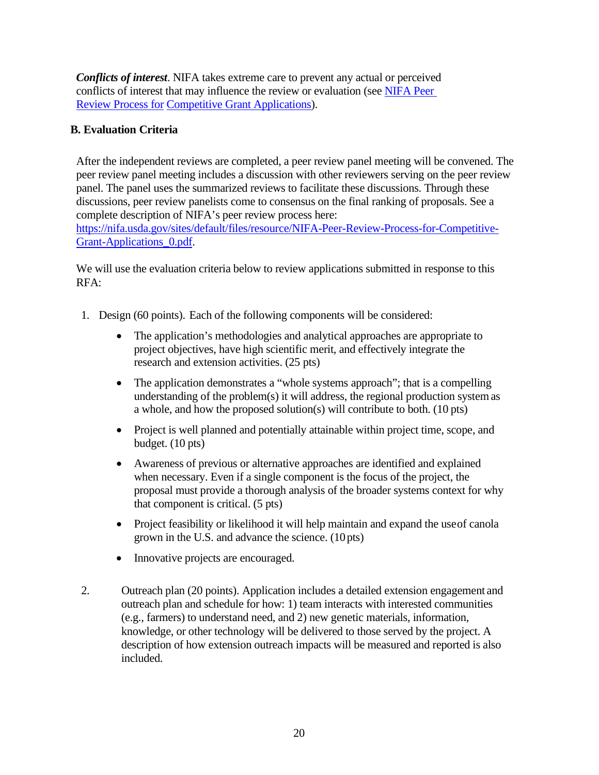*Conflicts of interest*. NIFA takes extreme care to prevent any actual or perceived conflicts of interest that may influence the review or evaluation (see [NIFA Peer](https://nifa.usda.gov/resource/nifa-peer-review-process-competitive-grant-applications)  [Review Process for](https://nifa.usda.gov/resource/nifa-peer-review-process-competitive-grant-applications) [Competitive Grant Applications\)](https://nifa.usda.gov/resource/nifa-peer-review-process-competitive-grant-applications).

# <span id="page-19-0"></span>**B. Evaluation Criteria**

After the independent reviews are completed, a peer review panel meeting will be convened. The peer review panel meeting includes a discussion with other reviewers serving on the peer review panel. The panel uses the summarized reviews to facilitate these discussions. Through these discussions, peer review panelists come to consensus on the final ranking of proposals. See a complete description of NIFA's peer review process here:

[https://nifa.usda.gov/sites/default/files/resource/NIFA-Peer-Review-Process-for-Competitive-](https://nifa.usda.gov/sites/default/files/resource/NIFA-Peer-Review-Process-for-Competitive-Grant-Applications_0.pdf)[Grant-Applications\\_0.pdf.](https://nifa.usda.gov/sites/default/files/resource/NIFA-Peer-Review-Process-for-Competitive-Grant-Applications_0.pdf)

We will use the evaluation criteria below to review applications submitted in response to this RFA:

- 1. Design (60 points). Each of the following components will be considered:
	- The application's methodologies and analytical approaches are appropriate to project objectives, have high scientific merit, and effectively integrate the research and extension activities. (25 pts)
	- The application demonstrates a "whole systems approach"; that is a compelling understanding of the problem(s) it will address, the regional production systemas a whole, and how the proposed solution(s) will contribute to both. (10 pts)
	- Project is well planned and potentially attainable within project time, scope, and budget. (10 pts)
	- Awareness of previous or alternative approaches are identified and explained when necessary. Even if a single component is the focus of the project, the proposal must provide a thorough analysis of the broader systems context for why that component is critical. (5 pts)
	- Project feasibility or likelihood it will help maintain and expand the use of canola grown in the U.S. and advance the science. (10pts)
	- Innovative projects are encouraged.
- 2. Outreach plan (20 points). Application includes a detailed extension engagement and outreach plan and schedule for how: 1) team interacts with interested communities (e.g., farmers) to understand need, and 2) new genetic materials, information, knowledge, or other technology will be delivered to those served by the project. A description of how extension outreach impacts will be measured and reported is also included.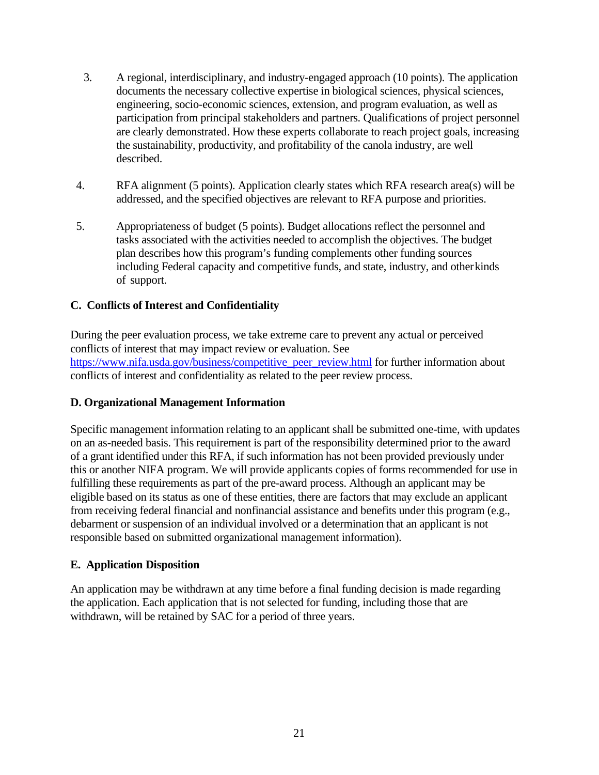- 3. A regional, interdisciplinary, and industry-engaged approach (10 points). The application documents the necessary collective expertise in biological sciences, physical sciences, engineering, socio-economic sciences, extension, and program evaluation, as well as participation from principal stakeholders and partners. Qualifications of project personnel are clearly demonstrated. How these experts collaborate to reach project goals, increasing the sustainability, productivity, and profitability of the canola industry, are well described.
- 4. RFA alignment (5 points). Application clearly states which RFA research area(s) will be addressed, and the specified objectives are relevant to RFA purpose and priorities.
- 5. Appropriateness of budget (5 points). Budget allocations reflect the personnel and tasks associated with the activities needed to accomplish the objectives. The budget plan describes how this program's funding complements other funding sources including Federal capacity and competitive funds, and state, industry, and otherkinds of support.

## <span id="page-20-0"></span>**C. Conflicts of Interest and Confidentiality**

During the peer evaluation process, we take extreme care to prevent any actual or perceived conflicts of interest that may impact review or evaluation. See [https://www.nifa.usda.gov/business/competitive\\_peer\\_review.html](https://www.nifa.usda.gov/business/competitive_peer_review.html) for further information about conflicts of interest and confidentiality as related to the peer review process.

## **D. Organizational Management Information**

Specific management information relating to an applicant shall be submitted one-time, with updates on an as-needed basis. This requirement is part of the responsibility determined prior to the award of a grant identified under this RFA, if such information has not been provided previously under this or another NIFA program. We will provide applicants copies of forms recommended for use in fulfilling these requirements as part of the pre-award process. Although an applicant may be eligible based on its status as one of these entities, there are factors that may exclude an applicant from receiving federal financial and nonfinancial assistance and benefits under this program (e.g., debarment or suspension of an individual involved or a determination that an applicant is not responsible based on submitted organizational management information).

## **E. Application Disposition**

An application may be withdrawn at any time before a final funding decision is made regarding the application. Each application that is not selected for funding, including those that are withdrawn, will be retained by SAC for a period of three years.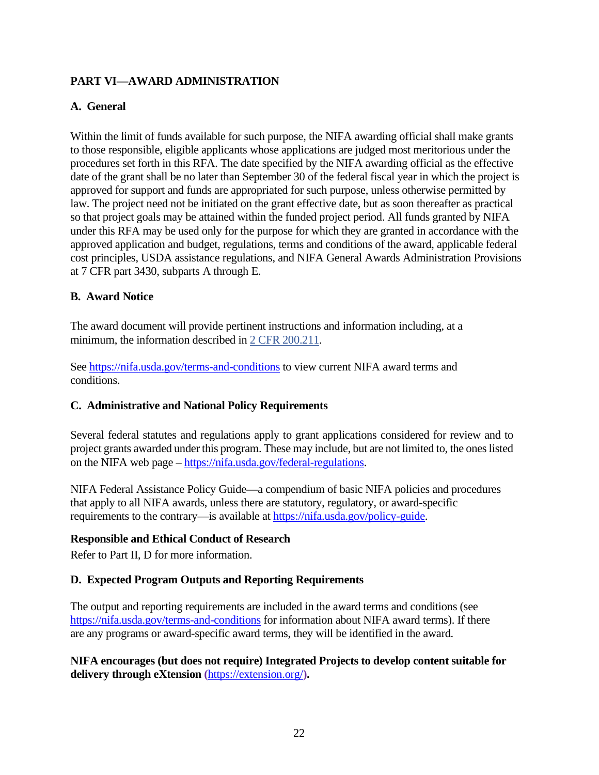# <span id="page-21-0"></span>**PART VI—AWARD ADMINISTRATION**

## <span id="page-21-1"></span>**A. General**

Within the limit of funds available for such purpose, the NIFA awarding official shall make grants to those responsible, eligible applicants whose applications are judged most meritorious under the procedures set forth in this RFA. The date specified by the NIFA awarding official as the effective date of the grant shall be no later than September 30 of the federal fiscal year in which the project is approved for support and funds are appropriated for such purpose, unless otherwise permitted by law. The project need not be initiated on the grant effective date, but as soon thereafter as practical so that project goals may be attained within the funded project period. All funds granted by NIFA under this RFA may be used only for the purpose for which they are granted in accordance with the approved application and budget, regulations, terms and conditions of the award, applicable federal cost principles, USDA assistance regulations, and NIFA General Awards Administration Provisions at 7 CFR part 3430, subparts A through E.

## <span id="page-21-2"></span>**B. Award Notice**

The award document will provide pertinent instructions and information including, at a minimum, the information described in [2 CFR 200.211.](https://www.ecfr.gov/cgi-bin/retrieveECFR?gp=&SID=cc3a3e9b1db540ac924812e19f15beb7&n=sp2.1.200.c&r=SUBPART&ty=HTML%2523se2.1.200_1210#se2.1.200_1211)

See<https://nifa.usda.gov/terms-and-conditions> to view current NIFA award terms and conditions.

#### <span id="page-21-3"></span>**C. Administrative and National Policy Requirements**

Several federal statutes and regulations apply to grant applications considered for review and to project grants awarded under this program. These may include, but are not limited to, the ones listed on the NIFA web page – [https://nifa.usda.gov/federal-regulations.](https://nifa.usda.gov/federal-regulations)

NIFA Federal Assistance Policy Guide**—**a compendium of basic NIFA policies and procedures that apply to all NIFA awards, unless there are statutory, regulatory, or award-specific requirements to the contrary—is available at [https://nifa.usda.gov/policy-guide.](https://nifa.usda.gov/policy-guide)

#### **Responsible and Ethical Conduct of Research**

Refer to Part II, D for more information.

#### **D. Expected Program Outputs and Reporting Requirements**

The output and reporting requirements are included in the award terms and conditions (see <https://nifa.usda.gov/terms-and-conditions> for information about NIFA award terms). If there are any programs or award-specific award terms, they will be identified in the award.

**NIFA encourages (but does not require) Integrated Projects to develop content suitable for delivery through eXtension (**<https://extension.org/>**).**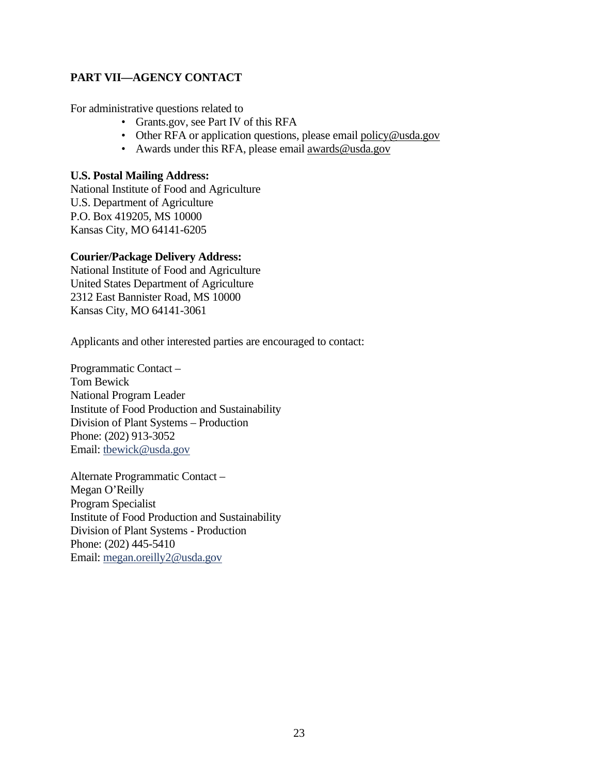# <span id="page-22-0"></span>**PART VII—AGENCY CONTACT**

For administrative questions related to

- Grants.gov, see Part IV of this RFA
- Other RFA or application questions, please email [policy@usda.gov](mailto:policy@usda.gov)
- Awards under this RFA, please email [awards@usda.gov](mailto:awards@usda.gov)

#### **U.S. Postal Mailing Address:**

National Institute of Food and Agriculture U.S. Department of Agriculture P.O. Box 419205, MS 10000 Kansas City, MO 64141-6205

## **Courier/Package Delivery Address:**

National Institute of Food and Agriculture United States Department of Agriculture 2312 East Bannister Road, MS 10000 Kansas City, MO 64141-3061

Applicants and other interested parties are encouraged to contact:

Programmatic Contact – Tom Bewick National Program Leader Institute of Food Production and Sustainability Division of Plant Systems – Production Phone: (202) 913-3052 Email: [tbewick@usda.gov](mailto:tbewick@usda.gov)

Alternate Programmatic Contact – Megan O'Reilly Program Specialist Institute of Food Production and Sustainability Division of Plant Systems - Production Phone: (202) 445-5410 Email: [megan.oreilly2@usda.gov](mailto:megan.oreilly2@usda.gov)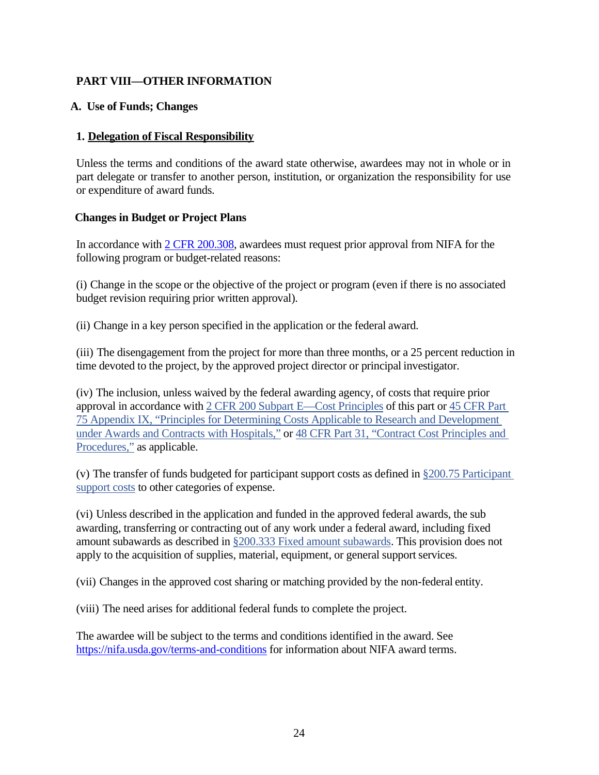# <span id="page-23-0"></span>**PART VIII—OTHER INFORMATION**

#### <span id="page-23-1"></span>**A. Use of Funds; Changes**

#### **1. Delegation of Fiscal Responsibility**

Unless the terms and conditions of the award state otherwise, awardees may not in whole or in part delegate or transfer to another person, institution, or organization the responsibility for use or expenditure of award funds.

#### **Changes in Budget or Project Plans**

In accordance with [2 CFR 200.308,](http://www.ecfr.gov/cgi-bin/text-idx?SID=3af89506559b05297e7d0334cb283e24&mc=true&node=se2.1.200_1308&rgn=div8) awardees must request prior approval from NIFA for the following program or budget-related reasons:

(i) Change in the scope or the objective of the project or program (even if there is no associated budget revision requiring prior written approval).

(ii) Change in a key person specified in the application or the federal award.

(iii) The disengagement from the project for more than three months, or a 25 percent reduction in time devoted to the project, by the approved project director or principal investigator.

(iv) The inclusion, unless waived by the federal awarding agency, of costs that require prior approval in accordance with [2 CFR 200 Subpart E—Cost Principles](https://www.ecfr.gov/cgi-bin/retrieveECFR?gp=&SID=2427e8fa31359b34244e7d9a573c18b0&mc=true&n=pt2.1.200&r=PART&ty=HTML#sp2.1.200.e) of this part or [45 CFR Part](https://www.ecfr.gov/cgi-bin/text-idx?SID=2ddcefd8b146897470e7ff29c9130644&mc=true&node=pt45.1.75&rgn=div5#ap45.1.75_1521.ix)  [75 Appendix IX, "Principles for Determining Costs Applicable to Research and Development](https://www.ecfr.gov/cgi-bin/text-idx?SID=2ddcefd8b146897470e7ff29c9130644&mc=true&node=pt45.1.75&rgn=div5#ap45.1.75_1521.ix)  [under Awards and Contracts with Hospitals,"](https://www.ecfr.gov/cgi-bin/text-idx?SID=2ddcefd8b146897470e7ff29c9130644&mc=true&node=pt45.1.75&rgn=div5#ap45.1.75_1521.ix) or [48 CFR Part 31, "Contract Cost Principles and](https://www.ecfr.gov/cgi-bin/text-idx?SID=2ddcefd8b146897470e7ff29c9130644&mc=true&node=pt48.1.31&rgn=div5)  [Procedures,"](https://www.ecfr.gov/cgi-bin/text-idx?SID=2ddcefd8b146897470e7ff29c9130644&mc=true&node=pt48.1.31&rgn=div5) as applicable.

(v) The transfer of funds budgeted for participant support costs as defined in [§200.75 Participant](https://www.ecfr.gov/cgi-bin/retrieveECFR?gp=&SID=2427e8fa31359b34244e7d9a573c18b0&mc=true&n=pt2.1.200&r=PART&ty=HTML#se2.1.200_175)  [support costs](https://www.ecfr.gov/cgi-bin/retrieveECFR?gp=&SID=2427e8fa31359b34244e7d9a573c18b0&mc=true&n=pt2.1.200&r=PART&ty=HTML#se2.1.200_175) to other categories of expense.

(vi) Unless described in the application and funded in the approved federal awards, the sub awarding, transferring or contracting out of any work under a federal award, including fixed amount subawards as described in §200.333 [Fixed amount subawards.](https://www.ecfr.gov/cgi-bin/retrieveECFR?gp=&SID=2427e8fa31359b34244e7d9a573c18b0&mc=true&n=pt2.1.200&r=PART&ty=HTML#se2.1.200_1333) This provision does not apply to the acquisition of supplies, material, equipment, or general support services.

(vii) Changes in the approved cost sharing or matching provided by the non-federal entity.

(viii) The need arises for additional federal funds to complete the project.

The awardee will be subject to the terms and conditions identified in the award. See <https://nifa.usda.gov/terms-and-conditions> for information about NIFA award terms.